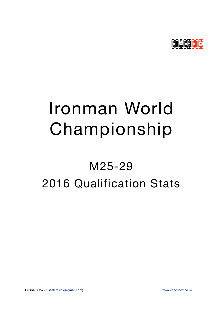

# Ironman World Championship

## M25-29 2016 Qualification Stats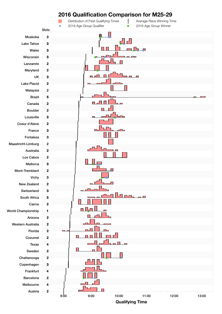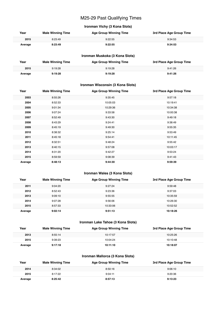## M25-29 Past Qualifying Times

## **Ironman Vichy (3 Kona Slots)**

| Year    | <b>Male Winning Time</b> | <b>Age Group Winning Time</b> | 3rd Place Age Group Time |
|---------|--------------------------|-------------------------------|--------------------------|
| 2015    | 8:23:49                  | 9:22:55                       | 9:34:53                  |
| Average | 8:23:49                  | 9:22:55                       | 9:34:53                  |

## **Ironman Muskoka (3 Kona Slots)**

| Year    | <b>Male Winning Time</b> | <b>Age Group Winning Time</b> | 3rd Place Age Group Time |
|---------|--------------------------|-------------------------------|--------------------------|
| 2015    | 9:19:28                  | 9:19:28                       | 9:41:26                  |
| Average | 9:19:28                  | 9:19:28                       | 9:41:26                  |

## **Ironman Wisconsin (3 Kona Slots)**

| Year    | <b>Male Winning Time</b> | <b>Age Group Winning Time</b> | 3rd Place Age Group Time |
|---------|--------------------------|-------------------------------|--------------------------|
| 2003    | 8:55:26                  | 9:35:45                       | 9:57:18                  |
| 2004    | 8:52:33                  | 10:05:03                      | 10:19:41                 |
| 2005    | 9:01:34                  | 10:29:36                      | 10:34:38                 |
| 2006    | 9:07:24                  | 9:33:58                       | 10:00:38                 |
| 2007    | 8:52:49                  | 9:43:30                       | 9:49:18                  |
| 2008    | 8:43:29                  | 9:24:41                       | 9:38:49                  |
| 2009    | 8:45:19                  | 9:49:30                       | 9:55:35                  |
| 2010    | 8:38:32                  | 9:25:14                       | 9:53:49                  |
| 2011    | 8:45:18                  | 9:54:41                       | 10:11:45                 |
| 2012    | 8:32:51                  | 9:48:24                       | 9:55:42                  |
| 2013    | 8:40:15                  | 9:57:08                       | 10:03:17                 |
| 2014    | 8:31:20                  | 9:42:27                       | 9:53:24                  |
| 2015    | 8:59:59                  | 9:08:39                       | 9:41:43                  |
| Average | 8:48:13                  | 9:44:30                       | 9:59:39                  |

## **Ironman Wales (3 Kona Slots)**

| Year    | <b>Male Winning Time</b> | <b>Age Group Winning Time</b> | 3rd Place Age Group Time |
|---------|--------------------------|-------------------------------|--------------------------|
| 2011    | 9:04:20                  | 9:27:24                       | 9:59:48                  |
| 2012    | 8:52:43                  | 9:23:36                       | 9:37:03                  |
| 2013    | 9:09:10                  | 9:55:55                       | 10:35:59                 |
| 2014    | 9:07:28                  | 9:56:06                       | 10:26:30                 |
| 2015    | 8:57:33                  | 10:33:06                      | 10:52:52                 |
| Average | 9:02:14                  | 9:51:13                       | 10:18:26                 |

## **Ironman Lake Tahoe (3 Kona Slots)**

| Year    | <b>Male Winning Time</b> | <b>Age Group Winning Time</b> | 3rd Place Age Group Time |
|---------|--------------------------|-------------------------------|--------------------------|
| 2013    | 8:55:14                  | 10:17:57                      | 10:25:26                 |
| 2015    | 9:39:23                  | 10:04:24                      | 10:10:48                 |
| Average | 9:17:18                  | 10:11:10                      | 10:18:07                 |

## **Ironman Mallorca (3 Kona Slots)**

| Year    | <b>Male Winning Time</b> | <b>Age Group Winning Time</b> | 3rd Place Age Group Time |
|---------|--------------------------|-------------------------------|--------------------------|
| 2014    | 8:34:02                  | 8:50:16                       | 9:06:10                  |
| 2015    | 8:17:22                  | 9:04:11                       | 9:20:36                  |
| Average | 8:25:42                  | 8:57:13                       | 9:13:23                  |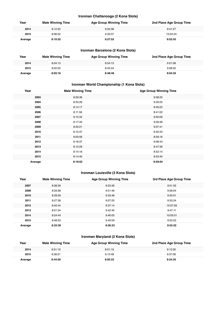## **Ironman Chattanooga (2 Kona Slots)**

| Year    | <b>Male Winning Time</b> | <b>Age Group Winning Time</b> | 2nd Place Age Group Time |
|---------|--------------------------|-------------------------------|--------------------------|
| 2014    | 8:12:32                  | 9:22:38                       | 9:41:27                  |
| 2015    | 8:08:32                  | 9:33:07                       | 10:04:24                 |
| Average | 8:10:32                  | 9:27:52                       | 9:52:55                  |

## **Ironman Barcelona (2 Kona Slots)**

| Year    | <b>Male Winning Time</b> | <b>Age Group Winning Time</b> | 2nd Place Age Group Time |
|---------|--------------------------|-------------------------------|--------------------------|
| 2014    | 8:04:13                  | 8:54:13                       | 9:01:08                  |
| 2015    | 8:02:20                  | 8:43:24                       | 9:08:02                  |
| Average | 8:03:16                  | 8:48:48                       | 9:04:35                  |

## **Ironman World Championship (1 Kona Slots)**

| Year    | <b>Male Winning Time</b> | <b>Age Group Winning Time</b> |
|---------|--------------------------|-------------------------------|
| 2003    | 8:59:36                  | 9:08:25                       |
| 2004    | 8:33:29                  | 9:29:25                       |
| 2005    | 8:14:17                  | 8:49:22                       |
| 2006    | 8:11:56                  | 8:41:02                       |
| 2007    | 8:15:34                  | 9:00:09                       |
| 2008    | 8:17:45                  | 9:09:36                       |
| 2009    | 8:20:21                  | 9:07:41                       |
| 2010    | 8:10:37                  | 8:40:43                       |
| 2011    | 8:03:56                  | 8:59:16                       |
| 2012    | 8:18:37                  | 9:08:43                       |
| 2013    | 8:12:29                  | 8:47:36                       |
| 2014    | 8:14:18                  | 8:52:14                       |
| 2015    | 8:14:40                  | 8:53:40                       |
| Average | 8:19:02                  | 8:59:04                       |

## **Ironman Louisville (3 Kona Slots)**

| Year    | <b>Male Winning Time</b> | <b>Age Group Winning Time</b> | 3rd Place Age Group Time |
|---------|--------------------------|-------------------------------|--------------------------|
| 2007    | 8:38:39                  | 9:23:30                       | 9:51:55                  |
| 2008    | 8:33:58                  | 9:51:46                       | 9:58:04                  |
| 2010    | 8:29:59                  | 9:33:48                       | 9:50:01                  |
| 2011    | 8:27:36                  | 9:07:25                       | 9:33:24                  |
| 2012    | 8:42:44                  | 9:37:14                       | 10:07:59                 |
| 2013    | 8:21:34                  | 9:42:40                       | 9:47:11                  |
| 2014    | 8:24:44                  | 9:46:05                       | 10:05:01                 |
| 2015    | 8:48:53                  | 9:49:59                       | 9:53:22                  |
| Average | 8:33:30                  | 9:36:33                       | 9:53:22                  |

## **Ironman Maryland (2 Kona Slots)**

| Year    | <b>Male Winning Time</b> | <b>Age Group Winning Time</b> | 2nd Place Age Group Time |
|---------|--------------------------|-------------------------------|--------------------------|
| 2014    | 8:51:19                  | 8:51:19                       | 9:12:05                  |
| 2015    | 8:38:21                  | 9:13:48                       | 9:37:06                  |
| Average | 8:44:50                  | 9:02:33                       | 9:24:35                  |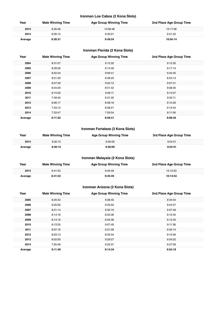## **Ironman Los Cabos (2 Kona Slots)**

| Year    | <b>Male Winning Time</b> | <b>Age Group Winning Time</b> | 2nd Place Age Group Time |
|---------|--------------------------|-------------------------------|--------------------------|
| 2013    | 8:26:48                  | 10:08:48                      | 10:17:06                 |
| 2014    | 8:26:15                  | 9:30:01                       | 9:51:22                  |
| Average | 8:26:31                  | 9:49:24                       | 10:04:14                 |

## **Ironman Florida (2 Kona Slots)**

| Year    | <b>Male Winning Time</b> | <b>Age Group Winning Time</b> | 2nd Place Age Group Time |
|---------|--------------------------|-------------------------------|--------------------------|
| 2004    | 8:31:07                  | 9:12:32                       | 9:12:35                  |
| 2005    | 8:28:26                  | 9:14:46                       | 9:17:14                  |
| 2006    | 8:22:44                  | 9:09:41                       | 9:34:45                  |
| 2007    | 8:21:29                  | 8:48:22                       | 8:54:13                  |
| 2008    | 8:07:59                  | 9:02:12                       | 9:07:41                  |
| 2009    | 8:24:29                  | 8:51:42                       | 9:08:35                  |
| 2010    | 8:15:59                  | 9:09:11                       | 9:12:07                  |
| 2011    | 7:59:42                  | 9:31:35                       | 9:32:11                  |
| 2012    | 8:06:17                  | 8:58:18                       | 9:10:26                  |
| 2013    | 7:53:12                  | 8:58:21                       | 9:13:44                  |
| 2014    | 7:33:47                  | 7:59:54                       | 8:11:56                  |
| Average | 8:11:22                  | 8:59:41                       | 9:08:40                  |

## **Ironman Fortaleza (3 Kona Slots)**

| Year    | <b>Male Winning Time</b> | <b>Age Group Winning Time</b> | 3rd Place Age Group Time |
|---------|--------------------------|-------------------------------|--------------------------|
| 2014    | 8:30:15                  | 9:30:09                       | 9:54:51                  |
| Average | 8:30:15                  | 9:30:09                       | 9:54:51                  |

## **Ironman Malaysia (2 Kona Slots)**

| Year    | <b>Male Winning Time</b> | <b>Age Group Winning Time</b> | 2nd Place Age Group Time |
|---------|--------------------------|-------------------------------|--------------------------|
| 2014    | 8:41:53                  | 9:45:49                       | 10:13:53                 |
| Average | 8:41:53                  | 9:45:49                       | 10:13:53                 |

## **Ironman Arizona (2 Kona Slots)**

| Year    | <b>Male Winning Time</b> | <b>Age Group Winning Time</b> | 2nd Place Age Group Time |
|---------|--------------------------|-------------------------------|--------------------------|
| 2005    | 8:25:42                  | 9:28:40                       | 9:34:54                  |
| 2006    | 8:20:56                  | 9:23:02                       | 9:24:27                  |
| 2007    | 8:21:14                  | 9:32:19                       | 9:37:49                  |
| 2008    | 8:14:16                  | 8:52:36                       | 9:12:45                  |
| 2009    | 8:14:16                  | 8:52:36                       | 9:12:45                  |
| 2010    | 8:13:35                  | 9:07:49                       | 9:11:38                  |
| 2011    | 8:07:16                  | 9:21:06                       | 9:32:14                  |
| 2012    | 8:03:13                  | 8:55:34                       | 9:15:06                  |
| 2013    | 8:02:00                  | 9:29:27                       | 9:34:22                  |
| 2014    | 7:55:48                  | 9:22:37                       | 9:27:09                  |
| Average | 8:11:49                  | 9:14:34                       | 9:24:18                  |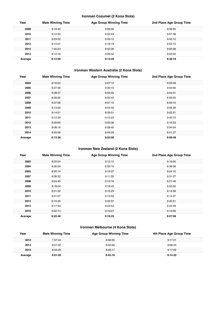## **Ironman Cozumel (2 Kona Slots)**

| Year    | <b>Male Winning Time</b> | <b>Age Group Winning Time</b> | 2nd Place Age Group Time |
|---------|--------------------------|-------------------------------|--------------------------|
| 2009    | 8:18:40                  | 9:56:30                       | 9:56:55                  |
| 2010    | 8:12:20                  | 8:32:24                       | 9:07:38                  |
| 2011    | 8:23:52                  | 9:33:12                       | 9:42:12                  |
| 2012    | 8:15:07                  | 9:18:19                       | 9:52:13                  |
| 2013    | 7:55:23                  | 8:52:26                       | 9:00:58                  |
| 2014    | 8:12:16                  | 9:09:42                       | 9:22:02                  |
| Average | 8:12:56                  | 9:13:45                       | 9:30:19                  |

## **Ironman Western Australia (2 Kona Slots)**

| Year    | <b>Male Winning Time</b> | <b>Age Group Winning Time</b> | 2nd Place Age Group Time |
|---------|--------------------------|-------------------------------|--------------------------|
| 2004    | 8:16:00                  | 9:07:12                       | 9:09:48                  |
| 2005    | 8:27:36                  | 9:30:15                       | 9:34:00                  |
| 2006    | 8:08:57                  | 8:59:20                       | 9:04:01                  |
| 2007    | 8:06:00                  | 8:50:43                       | 8:59:55                  |
| 2008    | 8:07:06                  | 8:57:10                       | 8:59:10                  |
| 2009    | 8:13:59                  | 9:04:35                       | 9:06:29                  |
| 2010    | 8:14:01                  | 8:59:51                       | 9:02:21                  |
| 2011    | 8:12:39                  | 9:15:23                       | 9:40:15                  |
| 2012    | 8:29:06                  | 9:05:36                       | 9:16:23                  |
| 2013    | 8:08:16                  | 8:58:40                       | 9:04:04                  |
| 2014    | 8:05:58                  | 8:45:29                       | 8:51:27                  |
| Average | 8:13:36                  | 9:03:06                       | 9:09:48                  |

## **Ironman New Zealand (2 Kona Slots)**

| Year    | <b>Male Winning Time</b> | <b>Age Group Winning Time</b> | 2nd Place Age Group Time |
|---------|--------------------------|-------------------------------|--------------------------|
| 2003    | 8:22:04                  | 9:12:12                       | 9:19:00                  |
| 2004    | 8:30:29                  | 8:59:10                       | 9:38:58                  |
| 2005    | 8:20:14                  | 9:19:37                       | 9:24:12                  |
| 2007    | 8:26:33                  | 9:11:35                       | 9:31:27                  |
| 2008    | 8:24:49                  | 9:19:16                       | 9:21:46                  |
| 2009    | 8:18:04                  | 9:18:42                       | 9:22:50                  |
| 2010    | 8:21:52                  | 9:12:23                       | 9:14:58                  |
| 2011    | 8:31:07                  | 9:13:52                       | 9:14:27                  |
| 2013    | 8:15:35                  | 9:35:37                       | 9:45:51                  |
| 2014    | 8:17:33                  | 9:43:54                       | 9:44:49                  |
| 2015    | 8:22:13                  | 9:16:27                       | 9:19:56                  |
| Average | 8:22:46                  | 9:18:25                       | 9:27:06                  |

## **Ironman Melbourne (4 Kona Slots)**

| Year    | <b>Male Winning Time</b> | <b>Age Group Winning Time</b> | 4th Place Age Group Time |
|---------|--------------------------|-------------------------------|--------------------------|
| 2012    | 7:57:44                  | 8:48:35                       | 9:17:21                  |
| 2014    | 8:01:02                  | 8:40:56                       | 9:08:43                  |
| 2015    | 8:04:29                  | 8:46:17                       | 9:17:02                  |
| Average | 8:01:05                  | 8:45:16                       | 9:14:22                  |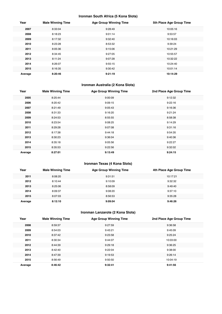## **Ironman South Africa (5 Kona Slots)**

| Year    | <b>Male Winning Time</b> | <b>Age Group Winning Time</b> | 5th Place Age Group Time |
|---------|--------------------------|-------------------------------|--------------------------|
| 2007    | 8:33:04                  | 9:28:49                       | 10:05:16                 |
| 2008    | 8:18:23                  | 9:01:14                       | 9:53:57                  |
| 2009    | 8:17:32                  | 9:32:40                       | 10:16:03                 |
| 2010    | 8:23:28                  | 8:53:32                       | 9:39:24                  |
| 2011    | 8:05:36                  | 9:15:06                       | 10:21:29                 |
| 2012    | 8:34:45                  | 9:27:05                       | 10:55:57                 |
| 2013    | 8:11:24                  | 9:07:28                       | 10:32:22                 |
| 2014    | 8:26:07                  | 9:55:15                       | 10:24:40                 |
| 2015    | 8:16:35                  | 9:30:42                       | 10:01:14                 |
| Average | 8:20:46                  | 9:21:19                       | 10:14:29                 |

## **Ironman Australia (2 Kona Slots)**

| Year    | <b>Male Winning Time</b> | <b>Age Group Winning Time</b> | 2nd Place Age Group Time |
|---------|--------------------------|-------------------------------|--------------------------|
| 2005    | 8:25:44                  | 9:00:09                       | 9:12:32                  |
| 2006    | 8:20:42                  | 9:09:15                       | 9:22:16                  |
| 2007    | 8:21:49                  | 9:05:43                       | 9:16:36                  |
| 2008    | 8:31:33                  | 9:16:20                       | 9:21:24                  |
| 2009    | 8:24:53                  | 8:55:55                       | 8:58:38                  |
| 2010    | 8:23:54                  | 9:08:25                       | 9:14:29                  |
| 2011    | 8:29:28                  | 9:07:08                       | 9:31:16                  |
| 2012    | 8:17:38                  | 9:44:18                       | 9:54:35                  |
| 2013    | 8:30:23                  | 9:36:04                       | 9:40:36                  |
| 2014    | 8:35:18                  | 9:05:56                       | 9:22:27                  |
| 2015    | 8:35:53                  | 9:22:56                       | 9:32:02                  |
| Average | 8:27:01                  | 9:13:49                       | 9:24:15                  |

## **Ironman Texas (4 Kona Slots)**

| Year    | <b>Male Winning Time</b> | <b>Age Group Winning Time</b> | 4th Place Age Group Time |
|---------|--------------------------|-------------------------------|--------------------------|
| 2011    | 8:08:20                  | 9:31:51                       | 10:17:21                 |
| 2012    | 8:10:44                  | 9:10:09                       | 9:32:32                  |
| 2013    | 8:25:06                  | 8:58:09                       | 9:49:40                  |
| 2014    | 8:09:37                  | 9:08:20                       | 9:37:10                  |
| 2015    | 8:07:03                  | 8:56:53                       | 9:35:28                  |
| Average | 8:12:10                  | 9:09:04                       | 9:46:26                  |

## **Ironman Lanzarote (2 Kona Slots)**

| Year    | <b>Male Winning Time</b> | <b>Age Group Winning Time</b> | 2nd Place Age Group Time |
|---------|--------------------------|-------------------------------|--------------------------|
| 2008    | 8:59:37                  | 9:27:59                       | 9:36:58                  |
| 2009    | 8:54:03                  | 9:43:21                       | 9:45:09                  |
| 2010    | 8:37:42                  | 9:23:58                       | 9:25:24                  |
| 2011    | 8:30:34                  | 9:44:07                       | 10:03:00                 |
| 2012    | 8:44:39                  | 9:29:18                       | 9:36:25                  |
| 2013    | 8:42:40                  | 9:22:04                       | 9:38:00                  |
| 2014    | 8:47:39                  | 9:19:53                       | 9:26:14                  |
| 2015    | 8:56:49                  | 9:50:50                       | 10:04:19                 |
| Average | 8:46:42                  | 9:32:41                       | 9:41:56                  |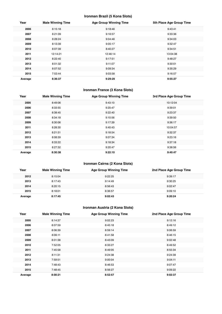## **Ironman Brazil (5 Kona Slots)**

| Year    | <b>Male Winning Time</b> | <b>Age Group Winning Time</b> | 5th Place Age Group Time |
|---------|--------------------------|-------------------------------|--------------------------|
| 2006    | 8:15:18                  | 9:18:46                       | 9:43:41                  |
| 2007    | 8:21:09                  | 9:16:57                       | 9:33:36                  |
| 2008    | 8:28:24                  | 9:04:46                       | 9:34:03                  |
| 2009    | 8:13:39                  | 9:05:17                       | 9:32:47                  |
| 2010    | 8:07:39                  | 8:40:27                       | 9:34:51                  |
| 2011    | 12:14:21                 | 12:46:14                      | 13:04:38                 |
| 2012    | 8:22:40                  | 9:17:51                       | 9:48:27                  |
| 2013    | 8:01:32                  | 9:11:07                       | 9:30:01                  |
| 2014    | 8:07:52                  | 9:09:34                       | 9:35:29                  |
| 2015    | 7:53:44                  | 9:03:58                       | 9:16:57                  |
| Average | 8:36:37                  | 9:29:29                       | 9:55:27                  |

## **Ironman France (3 Kona Slots)**

| Year    | <b>Male Winning Time</b> | <b>Age Group Winning Time</b> | 3rd Place Age Group Time |
|---------|--------------------------|-------------------------------|--------------------------|
| 2005    | 8:49:06                  | 9:43:10                       | 10:12:04                 |
| 2006    | 8:33:55                  | 9:20:47                       | 9:39:01                  |
| 2007    | 8:38:45                  | 9:22:40                       | 9:23:37                  |
| 2008    | 8:34:18                  | 9:10:56                       | 9:39:50                  |
| 2009    | 8:30:06                  | 9:17:39                       | 9:36:17                  |
| 2011    | 8:28:30                  | 9:40:43                       | 10:04:57                 |
| 2012    | 8:21:51                  | 9:18:54                       | 9:32:37                  |
| 2013    | 8:08:59                  | 9:07:34                       | 9:23:16                  |
| 2014    | 8:33:22                  | 9:18:34                       | 9:37:18                  |
| 2015    | 8:27:32                  | 9:20:47                       | 9:38:56                  |
| Average | 8:30:38                  | 9:22:10                       | 9:40:47                  |

## **Ironman Cairns (2 Kona Slots)**

| Year    | <b>Male Winning Time</b> | <b>Age Group Winning Time</b> | 2nd Place Age Group Time |
|---------|--------------------------|-------------------------------|--------------------------|
| 2012    | 8:15:04                  | 9:22:25                       | 9:39:17                  |
| 2013    | 8:17:43                  | 9:14:49                       | 9:30:25                  |
| 2014    | 8:20:15                  | 8:56:43                       | 9:02:47                  |
| 2015    | 8:18:01                  | 8:36:57                       | 9:09:10                  |
| Average | 8:17:45                  | 9:02:43                       | 9:20:24                  |

## **Ironman Austria (2 Kona Slots)**

| Year    | <b>Male Winning Time</b> | <b>Age Group Winning Time</b> | 2nd Place Age Group Time |
|---------|--------------------------|-------------------------------|--------------------------|
| 2005    | 8:14:37                  | 9:02:23                       | 9:12:16                  |
| 2006    | 8:07:59                  | 8:45:18                       | 8:49:12                  |
| 2007    | 8:06:39                  | 8:59:14                       | 9:06:59                  |
| 2008    | 8:06:11                  | 8:41:58                       | 8:46:15                  |
| 2009    | 8:01:38                  | 8:43:09                       | 9:02:48                  |
| 2010    | 7:52:05                  | 8:33:27                       | 8:49:52                  |
| 2011    | 7:45:58                  | 8:49:05                       | 8:55:34                  |
| 2012    | 8:11:31                  | 9:24:38                       | 9:24:39                  |
| 2013    | 7:59:51                  | 9:00:04                       | 9:04:11                  |
| 2014    | 7:48:43                  | 8:46:53                       | 9:07:47                  |
| 2015    | 7:48:45                  | 8:56:27                       | 9:09:22                  |
| Average | 8:00:21                  | 8:52:57                       | 9:02:37                  |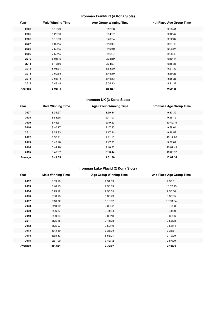## **Ironman Frankfurt (4 Kona Slots)**

| Year    | <b>Male Winning Time</b> | <b>Age Group Winning Time</b> | 4th Place Age Group Time |
|---------|--------------------------|-------------------------------|--------------------------|
| 2003    | 8:12:29                  | 9:12:58                       | 9:23:41                  |
| 2005    | 8:20:50                  | 9:04:37                       | 9:12:47                  |
| 2006    | 8:13:39                  | 8:40:04                       | 9:02:37                  |
| 2007    | 8:09:15                  | 8:48:17                       | 8:54:48                  |
| 2008    | 7:59:55                  | 8:49:40                       | 9:03:24                  |
| 2009    | 7:59:15                  | 8:46:07                       | 8:58:43                  |
| 2010    | 8:05:15                  | 9:03:19                       | 9:19:44                  |
| 2011    | 8:13:50                  | 9:04:37                       | 9:15:36                  |
| 2012    | 8:03:31                  | 8:53:20                       | 9:21:32                  |
| 2013    | 7:59:58                  | 8:45:10                       | 8:59:25                  |
| 2014    | 7:55:14                  | 8:45:13                       | 8:55:25                  |
| 2015    | 7:49:48                  | 9:06:13                       | 9:31:27                  |
| Average | 8:05:14                  | 8:54:57                       | 9:09:55                  |

## **Ironman UK (3 Kona Slots)**

| Year    | <b>Male Winning Time</b> | <b>Age Group Winning Time</b> | 3rd Place Age Group Time |
|---------|--------------------------|-------------------------------|--------------------------|
| 2007    | 8:35:57                  | 8:59:34                       | 9:30:39                  |
| 2008    | 8:53:58                  | 9:41:07                       | 9:56:12                  |
| 2009    | 8:45:51                  | 9:49:20                       | 10:42:19                 |
| 2010    | 8:40:17                  | 9:47:30                       | 9:59:04                  |
| 2011    | 8:24:33                  | 9:17:24                       | 9:46:52                  |
| 2012    | 8:55:11                  | 9:11:10                       | 10:17:20                 |
| 2013    | 8:45:48                  | 9:47:23                       | 9:57:07                  |
| 2014    | 8:44:10                  | 9:40:20                       | 10:07:49                 |
| 2015    | 8:46:37                  | 9:30:44                       | 10:06:37                 |
| Average | 8:43:35                  | 9:31:36                       | 10:02:39                 |

## **Ironman Lake Placid (2 Kona Slots)**

| Year    | <b>Male Winning Time</b> | <b>Age Group Winning Time</b> | 2nd Place Age Group Time |
|---------|--------------------------|-------------------------------|--------------------------|
| 2002    | 8:39:19                  | 9:31:39                       | 9:33:01                  |
| 2003    | 8:46:15                  | 9:36:09                       | 10:02:13                 |
| 2004    | 8:23:12                  | 9:33:05                       | 9:35:00                  |
| 2006    | 8:38:18                  | 9:30:29                       | 9:38:55                  |
| 2007    | 9:16:02                  | 9:16:02                       | 10:03:54                 |
| 2008    | 8:43:32                  | 9:38:32                       | 9:40:33                  |
| 2009    | 8:36:37                  | 9:41:04                       | 9:41:29                  |
| 2010    | 8:39:34                  | 9:33:13                       | 9:36:56                  |
| 2011    | 8:25:15                  | 9:41:28                       | 9:53:28                  |
| 2012    | 8:25:07                  | 9:52:19                       | 9:58:14                  |
| 2013    | 8:43:29                  | 9:25:08                       | 9:26:31                  |
| 2014    | 8:38:43                  | 8:56:21                       | 9:19:09                  |
| 2015    | 9:31:09                  | 9:42:12                       | 9:57:29                  |
| Average | 8:43:34                  | 9:32:07                       | 9:43:36                  |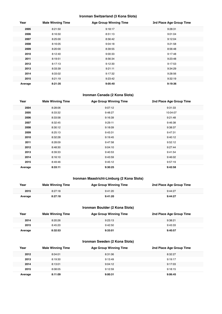## **Ironman Switzerland (3 Kona Slots)**

| Year    | <b>Male Winning Time</b> | <b>Age Group Winning Time</b> | 3rd Place Age Group Time |
|---------|--------------------------|-------------------------------|--------------------------|
| 2005    | 8:21:50                  | 9:18:17                       | 9:28:31                  |
| 2006    | 8:16:50                  | 8:51:13                       | 9:01:04                  |
| 2007    | 8:25:00                  | 8:56:42                       | 9:12:04                  |
| 2008    | 8:16:05                  | 9:04:18                       | 9:21:58                  |
| 2009    | 8:20:00                  | 8:39:55                       | 8:56:48                  |
| 2010    | 8:12:40                  | 9:00:33                       | 9:17:48                  |
| 2011    | 8:19:51                  | 8:56:34                       | 9:23:48                  |
| 2012    | 8:17:13                  | 9:12:30                       | 9:17:53                  |
| 2013    | 8:33:39                  | 9:21:11                       | 9:34:29                  |
| 2014    | 8:33:02                  | 9:17:32                       | 9:28:56                  |
| 2015    | 8:21:19                  | 9:23:42                       | 9:32:19                  |
| Average | 8:21:35                  | 9:05:40                       | 9:19:36                  |

## **Ironman Canada (2 Kona Slots)**

| Year    | <b>Male Winning Time</b> | <b>Age Group Winning Time</b> | 2nd Place Age Group Time |
|---------|--------------------------|-------------------------------|--------------------------|
| 2004    | 8:28:06                  | 9:07:12                       | 9:31:33                  |
| 2005    | 8:33:32                  | 9:48:27                       | 10:04:07                 |
| 2006    | 8:33:58                  | 9:16:39                       | 9:21:48                  |
| 2007    | 8:32:45                  | 9:29:11                       | 9:46:38                  |
| 2008    | 8:30:12                  | 9:18:09                       | 9:38:37                  |
| 2009    | 8:25:13                  | 9:43:31                       | 9:47:31                  |
| 2010    | 8:32:28                  | 9:19:45                       | 9:40:12                  |
| 2011    | 8:28:09                  | 9:47:58                       | 9:52:12                  |
| 2012    | 8:48:30                  | 9:04:10                       | 9:27:44                  |
| 2013    | 8:39:33                  | 9:40:53                       | 9:41:54                  |
| 2014    | 8:16:10                  | 9:43:59                       | 9:46:02                  |
| 2015    | 8:49:46                  | 9:45:12                       | 9:57:19                  |
| Average | 8:33:11                  | 9:30:25                       | 9:42:58                  |

## **Ironman Maastricht-Limburg (2 Kona Slots)**

| Year    | <b>Male Winning Time</b> | <b>Age Group Winning Time</b> | 2nd Place Age Group Time |
|---------|--------------------------|-------------------------------|--------------------------|
| 2015    | 8:27:18                  | 9:41:20                       | 9:44:27                  |
| Average | 8:27:18                  | 9:41:20                       | 9:44:27                  |

## **Ironman Boulder (2 Kona Slots)**

| Year    | <b>Male Winning Time</b> | <b>Age Group Winning Time</b> | 2nd Place Age Group Time |
|---------|--------------------------|-------------------------------|--------------------------|
| 2014    | 8:20:26                  | 9:23:13                       | 9:38:21                  |
| 2015    | 8:45:20                  | 9:42:50                       | 9:43:33                  |
| Average | 8:32:53                  | 9:33:01                       | 9:40:57                  |

## **Ironman Sweden (2 Kona Slots)**

| Year    | <b>Male Winning Time</b> | <b>Age Group Winning Time</b> | 2nd Place Age Group Time |
|---------|--------------------------|-------------------------------|--------------------------|
| 2012    | 8:04:01                  | 8:31:06                       | 8:32:27                  |
| 2013    | 8:19:30                  | 9:13:49                       | 9:19:17                  |
| 2014    | 8:13:01                  | 9:04:12                       | 9:17:03                  |
| 2015    | 8:08:05                  | 9:12:59                       | 9:18:15                  |
| Average | 8:11:09                  | 9:00:31                       | 9:06:45                  |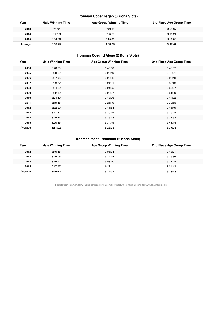## **Ironman Copenhagen (3 Kona Slots)**

| Year    | <b>Male Winning Time</b> | <b>Age Group Winning Time</b> | 3rd Place Age Group Time |
|---------|--------------------------|-------------------------------|--------------------------|
| 2013    | 8:12:41                  | 8:49:09                       | 8:59:37                  |
| 2014    | 8:03:39                  | 8:56:29                       | 9:05:24                  |
| 2015    | 8:14:56                  | 9:15:39                       | 9:18:05                  |
| Average | 8:10:25                  | 9:00:25                       | 9:07:42                  |

## **Ironman Coeur d'Alene (2 Kona Slots)**

| Year    | <b>Male Winning Time</b> | <b>Age Group Winning Time</b> | 2nd Place Age Group Time |
|---------|--------------------------|-------------------------------|--------------------------|
| 2003    | 8:40:59                  | 9:40:00                       | 9:46:07                  |
| 2005    | 8:23:29                  | 9:25:49                       | 9:40:21                  |
| 2006    | 9:07:05                  | 9:20:52                       | 9:23:43                  |
| 2007    | 8:33:32                  | 9:24:31                       | 9:38:43                  |
| 2008    | 8:34:22                  | 9:21:05                       | 9:37:27                  |
| 2009    | 8:32:12                  | 9:20:07                       | 9:31:09                  |
| 2010    | 8:24:40                  | 9:43:06                       | 9:44:02                  |
| 2011    | 8:19:48                  | 9:25:19                       | 9:30:55                  |
| 2012    | 8:32:29                  | 9:41:54                       | 9:45:49                  |
| 2013    | 8:17:31                  | 9:20:49                       | 9:29:44                  |
| 2014    | 8:25:44                  | 9:36:43                       | 9:37:53                  |
| 2015    | 8:20:35                  | 9:34:49                       | 9:43:14                  |
| Average | 8:31:02                  | 9:29:35                       | 9:37:25                  |

## **Ironman Mont-Tremblant (2 Kona Slots)**

| Year    | <b>Male Winning Time</b> | <b>Age Group Winning Time</b> | 2nd Place Age Group Time |
|---------|--------------------------|-------------------------------|--------------------------|
| 2012    | 8:40:48                  | 9:06:34                       | 9:43:21                  |
| 2013    | 8:26:06                  | 9:12:44                       | 9:15:36                  |
| 2014    | 8:16:17                  | 9:08:40                       | 9:31:44                  |
| 2015    | 8:17:37                  | 9:22:11                       | 9:24:13                  |
| Average | 8:25:12                  | 9:12:32                       | 9:28:43                  |

Results from Ironman.com. Tables compiled by Russ Cox (russell.m.cox@gmail.com) for www.coachcox.co.uk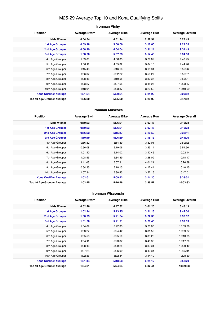## M25-29 Average Top 10 and Kona Qualifying Splits

## **Ironman Vichy Position Average Swim Average Bike Average Run Average Overall Male Winner 0:54:34 4:31:24 2:52:34 8:23:49 1st Age Grouper 0:59:18 5:00:06 3:18:00 9:22:55 2nd Age Grouper 0:58:19 4:54:04 3:31:14 9:31:49 3rd Age Grouper 1:08:06 5:07:03 3:14:48 9:34:53** 4th Age Grouper 1:09:01 4:56:05 3:29:02 9:40:25 5th Age Grouper 1:08:11 4:55:02 3:34:10 9:44:26 6th Age Grouper 1:15:46 5:16:16 3:15:31 9:55:26 7th Age Grouper 0:56:07 5:02:22 3:50:27 9:56:07 8th Age Grouper 1:08:46 5:10:55 3:30:37 9:59:01 9th Age Grouper 1:03:27 5:07:58 3:45:25 10:03:37 10th Age Grouper 1:18:04 5:23:37 3:20:52 10:10:02 **Kona Qualifier Average 1:01:54 5:00:24 3:21:20 9:29:52 Top 10 Age Grouper Average 1:06:30 5:05:20 3:29:00 9:47:52**

#### **Ironman Muskoka**

| <b>Position</b>                   | <b>Average Swim</b> | <b>Average Bike</b> | <b>Average Run</b> | <b>Average Overall</b> |
|-----------------------------------|---------------------|---------------------|--------------------|------------------------|
| <b>Male Winner</b>                | 0:59:23             | 5:06:21             | 3:07:48            | 9:19:28                |
| <b>1st Age Grouper</b>            | 0:59:23             | 5:06:21             | 3:07:48            | 9:19:28                |
| 2nd Age Grouper                   | 0:56:02             | 5:15:47             | 3:19:59            | 9:38:11                |
| 3rd Age Grouper                   | 1:10:40             | 5:06:59             | 3:15:13            | 9:41:26                |
| 4th Age Grouper                   | 0:56:32             | 5:14:39             | 3:32:01            | 9:50:12                |
| 5th Age Grouper                   | 0:56:08             | 5:19:06             | 3:29:14            | 9:51:56                |
| 6th Age Grouper                   | 1:01:40             | 5:14:02             | 3:40:46            | 10:02:14               |
| 7th Age Grouper                   | 1:08:55             | 5:34:39             | 3:28:09            | 10:18:17               |
| 8th Age Grouper                   | 1:11:08             | 5:07:31             | 4:01:21            | 10:26:39               |
| 9th Age Grouper                   | 0:54:35             | 5:18:13             | 4:17:44            | 10:40:15               |
| 10th Age Grouper                  | 1:07:34             | 5:30:43             | 3:57:16            | 10:47:01               |
| <b>Kona Qualifier Average</b>     | 1:02:01             | 5:09:42             | 3:14:20            | 9:33:01                |
| <b>Top 10 Age Grouper Average</b> | 1:02:15             | 5:16:48             | 3:36:57            | 10:03:33               |

#### **Ironman Wisconsin**

| <b>Position</b>               | <b>Average Swim</b> | <b>Average Bike</b> | <b>Average Run</b> | <b>Average Overall</b> |
|-------------------------------|---------------------|---------------------|--------------------|------------------------|
| <b>Male Winner</b>            | 0:52:46             | 4:47:32             | 3:01:25            | 8:48:13                |
| <b>1st Age Grouper</b>        | 1:02:14             | 5:13:25             | 3:21:13            | 9:44:30                |
| 2nd Age Grouper               | 1:00:29             | 5:21:54             | 3:22:38            | 9:52:52                |
| 3rd Age Grouper               | 1:01:00             | 5:21:21             | 3:28:45            | 9:59:39                |
| 4th Age Grouper               | 1:04:09             | 5:22:33             | 3:28:00            | 10:03:26               |
| 5th Age Grouper               | 1:03:27             | 5:24:42             | 3:31:52            | 10:09:37               |
| 6th Age Grouper               | 1:05:56             | 5:25:10             | 3:33:26            | 10:13:05               |
| 7th Age Grouper               | 1:04:11             | 5:23:37             | 3:40:36            | 10:17:30               |
| 8th Age Grouper               | 1:08:46             | 5:29:25             | 3:33:31            | 10:20:40               |
| 9th Age Grouper               | 1:07:25             | 5:26:02             | 3:42:34            | 10:25:11               |
| 10th Age Grouper              | 1:02:36             | 5:32:34             | 3:44:49            | 10:28:59               |
| <b>Kona Qualifier Average</b> | 1:01:14             | 5:18:53             | 3:24:12            | 9:52:20                |
| Top 10 Age Grouper Average    | 1:04:01             | 5:24:04             | 3:32:44            | 10:09:33               |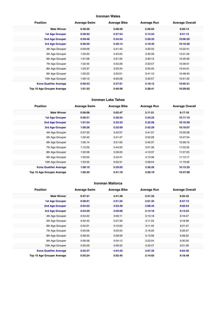## **Ironman Wales**

| <b>Position</b>               | <b>Average Swim</b> | <b>Average Bike</b> | <b>Average Run</b> | <b>Average Overall</b> |
|-------------------------------|---------------------|---------------------|--------------------|------------------------|
| <b>Male Winner</b>            | 0:49:20             | 5:08:59             | 2:56:04            | 9:02:14                |
| <b>1st Age Grouper</b>        | 0:58:02             | 5:27:54             | 3:14:24            | 9:51:13                |
| 2nd Age Grouper               | 0:59:48             | 5:34:54             | 3:20:33            | 10:06:25               |
| 3rd Age Grouper               | 0:58:50             | 5:48:14             | 3:19:40            | 10:18:26               |
| 4th Age Grouper               | 0:59:09             | 5:41:43             | 3:30:33            | 10:22:41               |
| 5th Age Grouper               | 1:03:33             | 5:43:25             | 3:30:39            | 10:31:22               |
| 6th Age Grouper               | 1:01:06             | 5:51:35             | 3:30:15            | 10:35:30               |
| 7th Age Grouper               | 1:02:45             | 5:52:28             | 3:32:57            | 10:39:51               |
| 8th Age Grouper               | 1:03:37             | 5:55:34             | 3:33:45            | 10:44:51               |
| 9th Age Grouper               | 1:03:22             | 5:53:01             | 3:41:10            | 10:48:40               |
| 10th Age Grouper              | 1:05:13             | 6:00:28             | 3:32:57            | 10:51:22               |
| <b>Kona Qualifier Average</b> | 0:58:53             | 5:37:01             | 3:18:12            | 10:05:21               |
| Top 10 Age Grouper Average    | 1:01:33             | 5:46:56             | 3:28:41            | 10:29:02               |

#### **Ironman Lake Tahoe**

| <b>Position</b>               | <b>Average Swim</b> | <b>Average Bike</b> | <b>Average Run</b> | <b>Average Overall</b> |
|-------------------------------|---------------------|---------------------|--------------------|------------------------|
| <b>Male Winner</b>            | 0:56:06             | 5:02:47             | 3:11:51            | 9:17:18                |
| <b>1st Age Grouper</b>        | 0:58:31             | 5:28:24             | 3:34:23            | 10:11:10               |
| 2nd Age Grouper               | 1:01:34             | 5:33:33             | 3:32:26            | 10:16:59               |
| <b>3rd Age Grouper</b>        | 1:00:26             | 5:25:09             | 3:42:29            | 10:18:07               |
| 4th Age Grouper               | 0:57:32             | 5:42:57             | 3:41:57            | 10:35:28               |
| 5th Age Grouper               | 1:02:42             | 5:41:47             | 3:52:28            | 10:47:54               |
| 6th Age Grouper               | 1:05:14             | 5:51:20             | 3:45:37            | 10:59:15               |
| 7th Age Grouper               | 1:12:03             | 5:44:20             | 3:51:36            | 11:02:25               |
| 8th Age Grouper               | 1:02:58             | 5:39:20             | 4:10:37            | 11:07:23               |
| 9th Age Grouper               | 1:03:00             | 5:43:41             | 4:13:38            | 11:13:17               |
| 10th Age Grouper              | 1:03:35             | 6:02:31             | 3:58:04            | 11:19:36               |
| <b>Kona Qualifier Average</b> | 1:00:10             | 5:29:02             | 3:36:26            | 10:15:25               |
| Top 10 Age Grouper Average    | 1:02:45             | 5:41:18             | 3:50:19            | 10:47:09               |

#### **Ironman Mallorca**

| <b>Position</b>               | <b>Average Swim</b> | <b>Average Bike</b> | <b>Average Run</b> | <b>Average Overall</b> |
|-------------------------------|---------------------|---------------------|--------------------|------------------------|
| <b>Male Winner</b>            | 0:47:41             | 4:41:48             | 2:51:33            | 8:25:42                |
| 1st Age Grouper               | 0:58:01             | 4:51:25             | 3:01:45            | 8:57:13                |
| 2nd Age Grouper               | 0:54:52             | 4:53:40             | 3:06:44            | 9:02:54                |
| 3rd Age Grouper               | 0:53:59             | 4:59:00             | 3:14:18            | 9:13:23                |
| 4th Age Grouper               | 0:54:22             | 5:00:11             | 3:15:18            | 9:16:47                |
| 5th Age Grouper               | 0:52:43             | 5:07:39             | 3:11:33            | 9:18:58                |
| 6th Age Grouper               | 0:54:01             | 5:10:02             | 3:11:45            | 9:21:47                |
| 7th Age Grouper               | 0:55:06             | 5:05:55             | 3:19:20            | 9:26:57                |
| 8th Age Grouper               | 0:58:35             | 5:08:59             | 3:13:56            | 9:28:22                |
| 9th Age Grouper               | 0:56:58             | 5:04:12             | 3:22:04            | 9:30:30                |
| 10th Age Grouper              | 0:55:29             | 5:06:32             | 3:23:47            | 9:31:26                |
| <b>Kona Qualifier Average</b> | 0:55:37             | 4:54:42             | 3:07:35            | 9:04:30                |
| Top 10 Age Grouper Average    | 0:55:24             | 5:02:45             | 3:14:03            | 9:18:49                |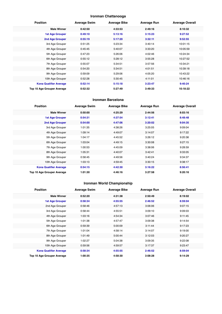## **Ironman Chattanooga**

| <b>Position</b>               | <b>Average Swim</b> | <b>Average Bike</b> | <b>Average Run</b> | <b>Average Overall</b> |
|-------------------------------|---------------------|---------------------|--------------------|------------------------|
| <b>Male Winner</b>            | 0:42:50             | 4:33:53             | 2:49:16            | 8:10:32                |
| <b>1st Age Grouper</b>        | 0:49:10             | 5:13:16             | 3:15:23            | 9:27:52                |
| 2nd Age Grouper               | 0:55:19             | 5:17:20             | 3:32:11            | 9:52:55                |
| 3rd Age Grouper               | 0:51:25             | 5:23:34             | 3:40:14            | 10:01:15               |
| 4th Age Grouper               | 0:45:45             | 5:40:07             | 3:33:20            | 10:05:59               |
| 5th Age Grouper               | 0:47:23             | 5:26:06             | 4:02:46            | 10:24:34               |
| 6th Age Grouper               | 0:55:12             | 5:28:12             | 3:55:28            | 10:27:52               |
| 7th Age Grouper               | 0:55:07             | 5:34:51             | 3:57:56            | 10:34:21               |
| 8th Age Grouper               | 0:54:20             | 5:34:51             | 4:01:51            | 10:39:18               |
| 9th Age Grouper               | 0:59:09             | 5:29:06             | 4:05:20            | 10:43:22               |
| 10th Age Grouper              | 0:52:28             | 5:30:45             | 4:11:01            | 10:46:16               |
| <b>Kona Qualifier Average</b> | 0:52:14             | 5:15:18             | 3:23:47            | 9:40:24                |
| Top 10 Age Grouper Average    | 0:52:32             | 5:27:49             | 3:49:33            | 10:18:22               |

#### **Ironman Barcelona**

| <b>Position</b>               | <b>Average Swim</b> | <b>Average Bike</b> | <b>Average Run</b> | <b>Average Overall</b> |
|-------------------------------|---------------------|---------------------|--------------------|------------------------|
| <b>Male Winner</b>            | 0:50:00             | 4:25:29             | 2:44:56            | 8:03:16                |
| <b>1st Age Grouper</b>        | 0:54:31             | 4:37:54             | 3:12:41            | 8:48:48                |
| <b>2nd Age Grouper</b>        | 0:54:00             | 4:47:06             | 3:20:02            | 9:04:35                |
| 3rd Age Grouper               | 1:01:35             | 4:38:26             | 3:25:05            | 9:09:04                |
| 4th Age Grouper               | 1:09:14             | 4:49:07             | 3:14:07            | 9:17:22                |
| 5th Age Grouper               | 1:04:17             | 4:45:52             | 3:26:12            | 9:20:38                |
| 6th Age Grouper               | 1:03:04             | 4:49:15             | 3:30:08            | 9:27:15                |
| 7th Age Grouper               | 1:00:53             | 4:45:09             | 3:38:06            | 9:28:59                |
| 8th Age Grouper               | 1:05:31             | 4:40:07             | 3:42:41            | 9:33:05                |
| 9th Age Grouper               | 0:58:45             | 4:49:56             | 3:40:24            | 9:34:37                |
| 10th Age Grouper              | 1:03:13             | 4:59:45             | 3:30:15            | 9:38:17                |
| <b>Kona Qualifier Average</b> | 0:54:15             | 4:42:30             | 3:16:22            | 8:56:41                |
| Top 10 Age Grouper Average    | 1:01:30             | 4:46:16             | 3:27:58            | 9:20:16                |

## **Ironman World Championship**

| <b>Position</b>               | <b>Average Swim</b> | <b>Average Bike</b> | <b>Average Run</b> | <b>Average Overall</b> |
|-------------------------------|---------------------|---------------------|--------------------|------------------------|
| <b>Male Winner</b>            | 0:52:20             | 4:31:38             | 2:50:49            | 8:19:02                |
| <b>1st Age Grouper</b>        | 0:58:34             | 4:55:55             | 2:46:52            | 8:59:04                |
| 2nd Age Grouper               | 0:58:46             | 4:57:13             | 3:06:06            | 9:07:15                |
| 3rd Age Grouper               | 0:58:44             | 4:55:51             | 3:09:10            | 9:09:03                |
| 4th Age Grouper               | 1:03:16             | 4:54:34             | 3:07:46            | 9:11:45                |
| 5th Age Grouper               | 1:01:38             | 4:57:47             | 3:09:38            | 9:14:54                |
| 6th Age Grouper               | 0:59:39             | 5:00:09             | 3:11:44            | 9:17:23                |
| 7th Age Grouper               | 1:01:04             | 4:58:14             | 3:14:07            | 9:19:00                |
| 8th Age Grouper               | 1:01:49             | 5:00:44             | 3:12:03            | 9:20:27                |
| 9th Age Grouper               | 1:02:27             | 5:04:38             | 3:09:35            | 9:22:08                |
| 10th Age Grouper              | 0:59:56             | 4:59:57             | 3:17:37            | 9:23:47                |
| <b>Kona Qualifier Average</b> | 0:58:34             | 4:55:55             | 2:46:52            | 8:59:04                |
| Top 10 Age Grouper Average    | 1:00:35             | 4:58:30             | 3:08:28            | 9:14:29                |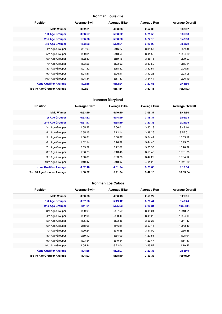## **Ironman Louisville**

| <b>Position</b>               | <b>Average Swim</b> | <b>Average Bike</b> | <b>Average Run</b> | <b>Average Overall</b> |
|-------------------------------|---------------------|---------------------|--------------------|------------------------|
| <b>Male Winner</b>            | 0:52:21             | 4:38:36             | 2:57:00            | 8:32:37                |
| <b>1st Age Grouper</b>        | 0:58:57             | 5:08:22             | 3:21:59            | 9:36:33                |
| 2nd Age Grouper               | 1:06:36             | 5:08:50             | 3:24:16            | 9:47:53                |
| 3rd Age Grouper               | 1:03:23             | 5:20:01             | 3:22:29            | 9:53:22                |
| 4th Age Grouper               | 0:57:08             | 5:16:27             | 3:34:57            | 9:57:20                |
| 5th Age Grouper               | 1:00:31             | 5:13:50             | 3:41:53            | 10:04:32               |
| 6th Age Grouper               | 1:02:49             | 5:19:18             | 3:38:16            | 10:09:27               |
| 7th Age Grouper               | 1:03:26             | 5:23:02             | 3:39:50            | 10:15:14               |
| 8th Age Grouper               | 1:01:42             | 5:18:42             | 3:50:54            | 10:20:11               |
| 9th Age Grouper               | 1:04:11             | 5:26:11             | 3:42:28            | 10:23:05               |
| 10th Age Grouper              | 1:04:44             | 5:17:37             | 3:54:44            | 10:26:19               |
| <b>Kona Qualifier Average</b> | 1:02:58             | 5:12:24             | 3:22:55            | 9:45:56                |
| Top 10 Age Grouper Average    | 1:02:21             | 5:17:14             | 3:37:11            | 10:05:23               |

## **Ironman Maryland**

| <b>Position</b>               | <b>Average Swim</b> | <b>Average Bike</b> | <b>Average Run</b> | <b>Average Overall</b> |
|-------------------------------|---------------------|---------------------|--------------------|------------------------|
| <b>Male Winner</b>            | 0:53:10             | 4:40:10             | 3:05:37            | 8:44:50                |
| <b>1st Age Grouper</b>        | 0:53:32             | 4:44:29             | 3:18:37            | 9:02:33                |
| 2nd Age Grouper               | 0:51:47             | 4:58:19             | 3:27:33            | 9:24:35                |
| 3rd Age Grouper               | 1:05:22             | 5:06:01             | 3:20:18            | 9:43:18                |
| 4th Age Grouper               | 0:55:15             | 5:12:14             | 3:38:26            | 9:55:01                |
| 5th Age Grouper               | 1:00:31             | 5:00:37             | 3:54:41            | 10:05:12               |
| 6th Age Grouper               | 1:02:14             | 5:16:32             | 3:44:48            | 10:13:03               |
| 7th Age Grouper               | 0:55:52             | 5:22:08             | 3:55:33            | 10:28:29               |
| 8th Age Grouper               | 1:06:28             | 5:18:46             | 3:53:49            | 10:31:05               |
| 9th Age Grouper               | 0:58:31             | 5:33:26             | 3:47:22            | 10:34:12               |
| 10th Age Grouper              | 1:10:47             | 5:18:07             | 4:01:23            | 10:41:32               |
| <b>Kona Qualifier Average</b> | 0:52:40             | 4:51:24             | 3:23:05            | 9:13:34                |
| Top 10 Age Grouper Average    | 1:00:02             | 5:11:04             | 3:42:15            | 10:03:54               |

#### **Ironman Los Cabos**

| <b>Position</b>               | <b>Average Swim</b> | <b>Average Bike</b> | <b>Average Run</b> | <b>Average Overall</b> |
|-------------------------------|---------------------|---------------------|--------------------|------------------------|
| <b>Male Winner</b>            | 0:50:33             | 4:38:43             | 2:53:22            | 8:26:31                |
| <b>1st Age Grouper</b>        | 0:57:56             | 5:19:12             | 3:26:44            | 9:49:24                |
| 2nd Age Grouper               | 1:11:21             | 5:25:03             | 3:20:31            | 10:04:14               |
| 3rd Age Grouper               | 1:00:05             | 5:27:52             | 3:45:01            | 10:18:51               |
| 4th Age Grouper               | 1:02:04             | 5:30:40             | 3:45:25            | 10:24:19               |
| 5th Age Grouper               | 1:05:37             | 5:33:36             | 3:56:28            | 10:41:47               |
| 6th Age Grouper               | 0:58:05             | 5:46:11             | 3:53:46            | 10:43:49               |
| 7th Age Grouper               | 1:20:24             | 5:46:58             | 3:41:00            | 10:56:35               |
| 8th Age Grouper               | 0:59:12             | 5:34:09             | 4:27:51            | 11:08:04               |
| 9th Age Grouper               | 1:03:54             | 5:40:54             | 4:23:47            | 11:14:37               |
| 10th Age Grouper              | 1:05:11             | 6:22:04             | 3:45:52            | 11:19:57               |
| <b>Kona Qualifier Average</b> | 1:04:38             | 5:22:07             | 3:23:38            | 9:56:49                |
| Top 10 Age Grouper Average    | 1:04:23             | 5:38:40             | 3:50:38            | 10:40:09               |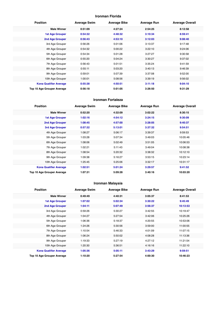## **Ironman Florida**

| <b>Position</b>               | <b>Average Swim</b> | <b>Average Bike</b> | <b>Average Run</b> | <b>Average Overall</b> |
|-------------------------------|---------------------|---------------------|--------------------|------------------------|
| <b>Male Winner</b>            | 0:51:09             | 4:27:24             | 2:54:25            | 8:12:58                |
| <b>1st Age Grouper</b>        | 0:54:32             | 4:48:32             | 3:10:34            | 8:59:41                |
| 2nd Age Grouper               | 0:56:43             | 4:53:10             | 3:12:03            | 9:08:40                |
| 3rd Age Grouper               | 0:56:26             | 5:01:06             | 3:13:37            | 9:17:48                |
| 4th Age Grouper               | 0:54:32             | 5:00:22             | 3:22:10            | 9:24:06                |
| 5th Age Grouper               | 0:54:34             | 5:01:28             | 3:27:27            | 9:30:58                |
| 6th Age Grouper               | 0:55:20             | 5:04:24             | 3:30:27            | 9:37:02                |
| 7th Age Grouper               | 0:56:43             | 5:01:51             | 3:35:24            | 9:41:59                |
| 8th Age Grouper               | 0:55:11             | 5:03:20             | 3:40:13            | 9:46:39                |
| 9th Age Grouper               | 0:59:01             | 5:07:39             | 3:37:08            | 9:52:00                |
| 10th Age Grouper              | 1:00:01             | 5:08:56             | 3:39:19            | 9:56:02                |
| <b>Kona Qualifier Average</b> | 0:55:38             | 4:50:51             | 3:11:18            | 9:04:10                |
| Top 10 Age Grouper Average    | 0:56:18             | 5:01:05             | 3:26:50            | 9:31:29                |

#### **Ironman Fortaleza**

| <b>Position</b>               | <b>Average Swim</b> | <b>Average Bike</b> | <b>Average Run</b> | <b>Average Overall</b> |
|-------------------------------|---------------------|---------------------|--------------------|------------------------|
| <b>Male Winner</b>            | 0:52:20             | 4:32:09             | 3:02:22            | 8:30:15                |
| <b>1st Age Grouper</b>        | 1:02:16             | 4:54:12             | 3:24:15            | 9:30:09                |
| 2nd Age Grouper               | 1:08:45             | 4:57:00             | 3:28:05            | 9:40:37                |
| 3rd Age Grouper               | 0:57:32             | 5:13:01             | 3:37:32            | 9:54:51                |
| 4th Age Grouper               | 1:08:27             | 5:06:17             | 3:39:37            | 9:59:53                |
| 5th Age Grouper               | 1:03:28             | 5:07:34             | 3:49:03            | 10:05:46               |
| 6th Age Grouper               | 1:08:06             | 5:02:49             | 3:51:05            | 10:06:53               |
| 7th Age Grouper               | 1:02:21             | 5:11:43             | 3:49:04            | 10:08:38               |
| 8th Age Grouper               | 1:08:54             | 5:20:32             | 3:38:32            | 10:12:10               |
| 9th Age Grouper               | 1:09:38             | 5:16:27             | 3:53:15            | 10:23:14               |
| 10th Age Grouper              | 1:25:45             | 5:25:06             | 3:32:17            | 10:31:17               |
| <b>Kona Qualifier Average</b> | 1:02:51             | 5:01:24             | 3:29:57            | 9:41:52                |
| Top 10 Age Grouper Average    | 1:07:31             | 5:09:28             | 3:40:16            | 10:03:20               |

## **Ironman Malaysia**

| <b>Position</b>               | <b>Average Swim</b> | <b>Average Bike</b> | <b>Average Run</b> | <b>Average Overall</b> |
|-------------------------------|---------------------|---------------------|--------------------|------------------------|
| <b>Male Winner</b>            | 0:49:49             | 4:40:31             | 3:05:37            | 8:41:53                |
| <b>1st Age Grouper</b>        | 1:07:02             | 5:02:34             | 3:30:22            | 9:45:49                |
| 2nd Age Grouper               | 1:04:11             | 5:07:49             | 3:56:37            | 10:13:53               |
| 3rd Age Grouper               | 0:59:26             | 5:30:27             | 3:42:55            | 10:19:47               |
| 4th Age Grouper               | 1:04:27             | 5:27:54             | 3:42:06            | 10:25:26               |
| 5th Age Grouper               | 1:06:36             | 5:18:37             | 4:20:55            | 10:53:06               |
| 6th Age Grouper               | 1:24:26             | 5:30:56             | 3:59:00            | 11:00:55               |
| 7th Age Grouper               | 1:10:54             | 5:46:33             | 4:01:09            | 11:07:15               |
| 8th Age Grouper               | 1:06:24             | 5:50:02             | 4:08:28            | 11:13:36               |
| 9th Age Grouper               | 1:19:33             | 5:27:19             | 4:27:12            | 11:21:54               |
| 10th Age Grouper              | 1:20:30             | 5:36:51             | 4:16:16            | 11:22:10               |
| <b>Kona Qualifier Average</b> | 1:05:36             | 5:05:11             | 3:43:29            | 9:59:51                |
| Top 10 Age Grouper Average    | 1:10:20             | 5:27:54             | 4:00:30            | 10:46:23               |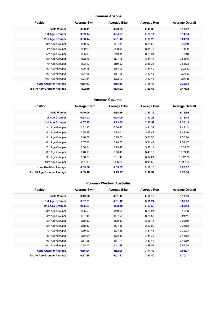#### **Ironman Arizona**

| <b>Position</b>               | <b>Average Swim</b> | <b>Average Bike</b> | <b>Average Run</b> | <b>Average Overall</b> |
|-------------------------------|---------------------|---------------------|--------------------|------------------------|
| <b>Male Winner</b>            | 0:50:41             | 4:29:35             | 2:49:35            | 8:13:52                |
| <b>1st Age Grouper</b>        | 0:59:14             | 4:54:07             | 3:15:14            | 9:14:34                |
| 2nd Age Grouper               | 0:58:44             | 5:01:43             | 3:18:23            | 9:24:18                |
| 3rd Age Grouper               | 0:59:17             | 5:04:34             | 3:25:58            | 9:35:49                |
| 4th Age Grouper               | 1:02:22             | 5:03:04             | 3:31:47            | 9:44:02                |
| 5th Age Grouper               | 1:05:32             | 5:10:11             | 3:22:31            | 9:45:18                |
| 6th Age Grouper               | 1:02:16             | 5:07:15             | 3:34:44            | 9:51:45                |
| 7th Age Grouper               | 1:03:10             | 5:10:57             | 3:35:35            | 9:56:23                |
| 8th Age Grouper               | 1:06:18             | 5:14:09             | 3:34:49            | 10:02:22               |
| 9th Age Grouper               | 1:04:06             | 5:17:06             | 3:40:45            | 10:08:52               |
| 10th Age Grouper              | 1:03:54             | 5:22:13             | 3:42:41            | 10:15:35               |
| <b>Kona Qualifier Average</b> | 0:58:43             | 4:58:55             | 3:16:47            | 9:20:08                |
| Top 10 Age Grouper Average    | 1:02:10             | 5:08:22             | 3:29:53            | 9:47:02                |

#### **Ironman Cozumel**

| <b>Position</b>               | <b>Average Swim</b> | <b>Average Bike</b> | <b>Average Run</b> | <b>Average Overall</b> |
|-------------------------------|---------------------|---------------------|--------------------|------------------------|
| <b>Male Winner</b>            | 0:49:06             | 4:38:56             | 2:53:19            | 8:12:56                |
| <b>1st Age Grouper</b>        | 0:53:02             | 5:04:09             | 3:11:28            | 9:13:45                |
| 2nd Age Grouper               | 0:57:15             | 5:13:55             | 3:20:52            | 9:30:19                |
| 3rd Age Grouper               | 0:52:37             | 5:06:47             | 3:31:32            | 9:43:42                |
| 4th Age Grouper               | 0:55:39             | 5:13:01             | 3:32:48            | 9:48:10                |
| 5th Age Grouper               | 0:46:27             | 5:23:55             | 3:31:33            | 9:55:14                |
| 6th Age Grouper               | 0:57:06             | 5:24:05             | 3:31:44            | 9:59:47                |
| 7th Age Grouper               | 0:56:24             | 5:23:47             | 3:37:14            | 10:05:07               |
| 8th Age Grouper               | 0:48:13             | 5:26:43             | 3:49:15            | 10:09:43               |
| 9th Age Grouper               | 0:58:59             | 5:31:43             | 3:34:21            | 10:12:06               |
| 10th Age Grouper              | 0:51:03             | 5:26:28             | 3:44:55            | 10:17:50               |
| <b>Kona Qualifier Average</b> | 0:55:08             | 5:09:02             | 3:16:10            | 9:22:02                |
| Top 10 Age Grouper Average    | 0:53:40             | 5:19:27             | 3:32:34            | 9:53:34                |

#### **Ironman Western Australia**

| <b>Position</b>               | <b>Average Swim</b> | <b>Average Bike</b> | <b>Average Run</b> | <b>Average Overall</b> |
|-------------------------------|---------------------|---------------------|--------------------|------------------------|
| <b>Male Winner</b>            | 0:49:56             | 4:31:17             | 2:50:16            | 8:13:36                |
| <b>1st Age Grouper</b>        | 0:57:21             | 4:51:12             | 3:11:24            | 9:03:06                |
| 2nd Age Grouper               | 0:55:27             | 4:53:40             | 3:17:55            | 9:09:48                |
| 3rd Age Grouper               | 0:55:59             | 4:49:54             | 3:26:24            | 9:15:53                |
| 4th Age Grouper               | 0:57:44             | 4:57:50             | 3:24:57            | 9:24:11                |
| 5th Age Grouper               | 0:58:40             | 5:00:33             | 3:26:46            | 9:29:19                |
| 6th Age Grouper               | 0:58:40             | 5:04:36             | 3:27:02            | 9:33:53                |
| 7th Age Grouper               | 0:59:03             | 5:04:25             | 3:31:48            | 9:39:03                |
| 8th Age Grouper               | 0:58:04             | 5:08:30             | 3:34:39            | 9:44:58                |
| 9th Age Grouper               | 0:57:08             | 5:11:14             | 3:37:44            | 9:49:39                |
| 10th Age Grouper              | 0:58:17             | 5:11:58             | 3:38:01            | 9:51:58                |
| <b>Kona Qualifier Average</b> | 0:56:24             | 4:52:26             | 3:14:40            | 9:06:27                |
| Top 10 Age Grouper Average    | 0:57:38             | 5:01:23             | 3:27:40            | 9:30:11                |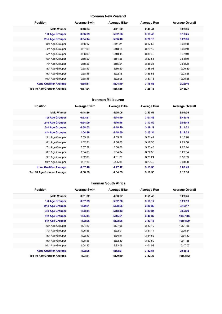## **Ironman New Zealand**

| <b>Position</b>               | <b>Average Swim</b> | <b>Average Bike</b> | <b>Average Run</b> | <b>Average Overall</b> |
|-------------------------------|---------------------|---------------------|--------------------|------------------------|
| <b>Male Winner</b>            | 0:48:04             | 4:41:22             | 2:48:44            | 8:22:46                |
| <b>1st Age Grouper</b>        | 0:56:09             | 5:02:58             | 3:13:40            | 9:18:25                |
| 2nd Age Grouper               | 0:54:14             | 5:06:40             | 3:20:10            | 9:27:06                |
| 3rd Age Grouper               | 0:56:17             | 5:11:24             | 3:17:53            | 9:33:58                |
| 4th Age Grouper               | 0:57:08             | 5:13:15             | 3:22:19            | 9:39:40                |
| 5th Age Grouper               | 0:56:32             | 5:13:44             | 3:30:42            | 9:47:19                |
| 6th Age Grouper               | 0:58:50             | 5:14:56             | 3:30:56            | 9:51:10                |
| 7th Age Grouper               | 0:58:36             | 5:15:24             | 3:35:35            | 9:56:28                |
| 8th Age Grouper               | 0:58:43             | 5:16:50             | 3:38:03            | 10:00:30               |
| 9th Age Grouper               | 0:58:48             | 5:22:18             | 3:35:53            | 10:03:56               |
| 10th Age Grouper              | 0:58:48             | 5:22:08             | 3:37:18            | 10:05:58               |
| <b>Kona Qualifier Average</b> | 0:55:11             | 5:04:49             | 3:16:55            | 9:22:46                |
| Top 10 Age Grouper Average    | 0:57:24             | 5:13:58             | 3:28:15            | 9:46:27                |

#### **Ironman Melbourne**

| <b>Position</b>               | <b>Average Swim</b> | <b>Average Bike</b> | <b>Average Run</b> | <b>Average Overall</b> |
|-------------------------------|---------------------|---------------------|--------------------|------------------------|
| <b>Male Winner</b>            | 0:48:36             | 4:25:06             | 2:43:51            | 8:01:05                |
| <b>1st Age Grouper</b>        | 0:53:51             | 4:44:49             | 3:01:46            | 8:45:16                |
| 2nd Age Grouper               | 0:54:00             | 4:46:48             | 3:17:52            | 9:03:48                |
| 3rd Age Grouper               | 0:58:02             | 4:48:20             | 3:19:11            | 9:11:52                |
| <b>4th Age Grouper</b>        | 1:04:46             | 4:48:50             | 3:15:34            | 9:14:22                |
| 5th Age Grouper               | 0:55:19             | 4:53:59             | 3:21:44            | 9:16:20                |
| 6th Age Grouper               | 1:02:31             | 4:56:00             | 3:17:30            | 9:21:58                |
| 7th Age Grouper               | 0:57:52             | 5:00:08             | 3:20:43            | 9:25:14                |
| 8th Age Grouper               | 0:54:08             | 5:04:34             | 3:22:56            | 9:29:04                |
| 9th Age Grouper               | 1:02:39             | 4:51:29             | 3:28:24            | 9:30:39                |
| 10th Age Grouper              | 0:57:18             | 5:05:35             | 3:23:40            | 9:34:28                |
| <b>Kona Qualifier Average</b> | 0:57:40             | 4:47:12             | 3:13:36            | 9:03:49                |
| Top 10 Age Grouper Average    | 0:58:03             | 4:54:03             | 3:18:56            | 9:17:18                |

#### **Ironman South Africa**

| <b>Position</b>               | <b>Average Swim</b> | <b>Average Bike</b> | <b>Average Run</b> | <b>Average Overall</b> |
|-------------------------------|---------------------|---------------------|--------------------|------------------------|
| <b>Male Winner</b>            | 0:51:32             | 4:33:27             | 2:51:49            | 8:20:46                |
| 1st Age Grouper               | 0:57:39             | 5:02:30             | 3:16:17            | 9:21:19                |
| 2nd Age Grouper               | 1:02:21             | 5:08:05             | 3:30:30            | 9:46:47                |
| 3rd Age Grouper               | 1:03:14             | 5:13:43             | 3:33:34            | 9:56:09                |
| 4th Age Grouper               | 1:05:14             | 5:15:01             | 3:40:37            | 10:07:16               |
| <b>5th Age Grouper</b>        | 1:02:06             | 5:22:26             | 3:43:15            | 10:14:29               |
| 6th Age Grouper               | 1:04:19             | 5:27:06             | 3:43:19            | 10:21:36               |
| 7th Age Grouper               | 1:05:55             | 5:22:01             | 3:51:14            | 10:25:54               |
| 8th Age Grouper               | 1:02:43             | 5:30:11             | 3:54:52            | 10:34:42               |
| 9th Age Grouper               | 1:08:56             | 5:32:30             | 3:50:50            | 10:41:38               |
| 10th Age Grouper              | 1:04:27             | 5:33:06             | 4:01:03            | 10:47:07               |
| <b>Kona Qualifier Average</b> | 1:02:06             | 5:12:21             | 3:32:51            | 9:53:12                |
| Top 10 Age Grouper Average    | 1:03:41             | 5:20:40             | 3:42:33            | 10:13:42               |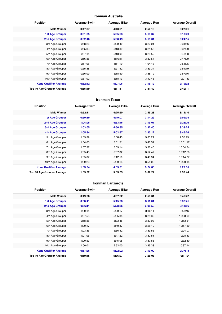#### **Ironman Australia**

| <b>Position</b>               | <b>Average Swim</b> | <b>Average Bike</b> | <b>Average Run</b> | <b>Average Overall</b> |
|-------------------------------|---------------------|---------------------|--------------------|------------------------|
| <b>Male Winner</b>            | 0:47:37             | 4:43:01             | 2:54:15            | 8:27:01                |
| <b>1st Age Grouper</b>        | 0:51:35             | 5:05:23             | 3:13:37            | 9:13:49                |
| <b>2nd Age Grouper</b>        | 0:52:48             | 5:08:49             | 3:19:01            | 9:24:15                |
| 3rd Age Grouper               | 0:58:26             | 5:09:40             | 3:20:01            | 9:31:56                |
| 4th Age Grouper               | 0:55:33             | 5:13:39             | 3:24:58            | 9:37:20                |
| 5th Age Grouper               | 0:57:14             | 5:13:09             | 3:28:59            | 9:43:03                |
| 6th Age Grouper               | 0:56:38             | 5:16:11             | 3:30:54            | 9:47:09                |
| 7th Age Grouper               | 0:57:05             | 4:51:10             | 4:04:48            | 9:51:05                |
| 8th Age Grouper               | 0:55:38             | 5:21:42             | 3:33:34            | 9:54:19                |
| 9th Age Grouper               | 0:56:09             | 5:18:50             | 3:38:19            | 9:57:16                |
| 10th Age Grouper              | 0:57:02             | 5:18:13             | 3:42:46            | 10:01:43               |
| <b>Kona Qualifier Average</b> | 0:52:12             | 5:07:06             | 3:16:19            | 9:19:02                |
| Top 10 Age Grouper Average    | 0:55:49             | 5:11:41             | 3:31:42            | 9:42:11                |

#### **Ironman Texas**

| <b>Position</b>               | <b>Average Swim</b> | <b>Average Bike</b> | <b>Average Run</b> | <b>Average Overall</b> |
|-------------------------------|---------------------|---------------------|--------------------|------------------------|
| <b>Male Winner</b>            | 0:52:11             | 4:25:50             | 2:49:28            | 8:12:10                |
| <b>1st Age Grouper</b>        | 0:59:30             | 4:49:07             | 3:14:29            | 9:09:04                |
| 2nd Age Grouper               | 1:04:05             | 4:53:46             | 3:19:01            | 9:23:26                |
| 3rd Age Grouper               | 1:03:05             | 4:56:35             | 3:32:40            | 9:39:25                |
| <b>4th Age Grouper</b>        | 1:05:34             | 5:02:37             | 3:30:12            | 9:46:26                |
| 5th Age Grouper               | 1:05:39             | 5:08:43             | 3:33:21            | 9:55:15                |
| 6th Age Grouper               | 1:04:03             | 5:01:51             | 3:48:51            | 10:01:17               |
| 7th Age Grouper               | 1:07:37             | 5:09:14             | 3:38:45            | 10:04:34               |
| 8th Age Grouper               | 1:05:45             | 5:07:32             | 3:52:47            | 10:12:58               |
| 9th Age Grouper               | 1:05:37             | 5:12:10             | 3:49:34            | 10:14:37               |
| 10th Age Grouper              | 1:09:26             | 5:09:18             | 3:54:06            | 10:20:15               |
| <b>Kona Qualifier Average</b> | 1:03:04             | 4:55:31             | 3:24:05            | 9:29:35                |
| Top 10 Age Grouper Average    | 1:05:02             | 5:03:05             | 3:37:22            | 9:52:44                |

#### **Ironman Lanzarote**

| <b>Position</b>               | <b>Average Swim</b> | <b>Average Bike</b> | <b>Average Run</b> | <b>Average Overall</b> |
|-------------------------------|---------------------|---------------------|--------------------|------------------------|
| <b>Male Winner</b>            | 0:49:28             | 4:57:52             | 2:53:31            | 8:46:42                |
| <b>1st Age Grouper</b>        | 0:58:41             | 5:15:28             | 3:11:01            | 9:32:41                |
| <b>2nd Age Grouper</b>        | 0:56:11             | 5:28:36             | 3:08:59            | 9:41:56                |
| 3rd Age Grouper               | 1:00:14             | 5:29:17             | 3:16:11            | 9:53:46                |
| 4th Age Grouper               | 0:57:55             | 5:35:34             | 3:25:35            | 10:08:09               |
| 5th Age Grouper               | 0:58:38             | 5:33:48             | 3:33:03            | 10:13:51               |
| 6th Age Grouper               | 1:00:17             | 5:40:37             | 3:28:10            | 10:17:30               |
| 7th Age Grouper               | 1:03:35             | 5:36:42             | 3:33:55            | 10:24:07               |
| 8th Age Grouper               | 1:01:05             | 5:47:22             | 3:30:51            | 10:28:43               |
| 9th Age Grouper               | 1:00:53             | 5:45:08             | 3:37:58            | 10:32:40               |
| 10th Age Grouper              | 1:00:01             | 5:52:00             | 3:35:33            | 10:37:14               |
| <b>Kona Qualifier Average</b> | 0:57:26             | 5:22:02             | 3:10:00            | 9:37:18                |
| Top 10 Age Grouper Average    | 0:59:45             | 5:36:27             | 3:26:08            | 10:11:04               |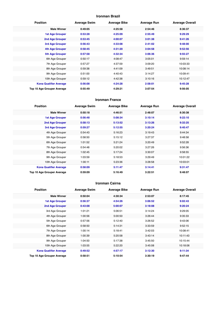## **Ironman Brazil**

| <b>Position</b>               | <b>Average Swim</b> | <b>Average Bike</b> | <b>Average Run</b> | <b>Average Overall</b> |
|-------------------------------|---------------------|---------------------|--------------------|------------------------|
| <b>Male Winner</b>            | 0:49:05             | 4:25:58             | 2:54:46            | 8:36:37                |
| <b>1st Age Grouper</b>        | 0:53:28             | 4:25:09             | 2:55:49            | 9:29:29                |
| 2nd Age Grouper               | 0:53:45             | 4:00:07             | 3:01:38            | 9:41:26                |
| 3rd Age Grouper               | 0:56:43             | 4:33:08             | 2:41:02            | 9:48:00                |
| 4th Age Grouper               | 0:58:45             | 4:31:20             | 3:04:58            | 9:52:56                |
| <b>5th Age Grouper</b>        | 0:57:58             | 4:32:34             | 3:06:36            | 9:55:27                |
| 6th Age Grouper               | 0:50:17             | 4:08:47             | 3:05:01            | 9:59:14                |
| 7th Age Grouper               | 0:57:27             | 4:37:59             | 3:09:20            | 10:03:33               |
| 8th Age Grouper               | 0:59:38             | 4:41:09             | 3:49:51            | 10:08:14               |
| 9th Age Grouper               | 0:51:00             | 4:40:43             | 3:14:27            | 10:09:41               |
| 10th Age Grouper              | 0:59:12             | 4:42:38             | 3:10:16            | 10:12:47               |
| <b>Kona Qualifier Average</b> | 0:56:08             | 4:24:28             | 2:58:01            | 9:45:28                |
| Top 10 Age Grouper Average    | 0:55:49             | 4:29:21             | 3:07:54            | 9:56:05                |

#### **Ironman France**

| <b>Position</b>               | <b>Average Swim</b> | <b>Average Bike</b> | <b>Average Run</b> | <b>Average Overall</b> |
|-------------------------------|---------------------|---------------------|--------------------|------------------------|
| <b>Male Winner</b>            | 0:50:18             | 4:46:51             | 2:48:07            | 8:30:38                |
| <b>1st Age Grouper</b>        | 0:56:48             | 5:08:34             | 3:10:14            | 9:22:10                |
| 2nd Age Grouper               | 0:58:13             | 5:13:52             | 3:13:26            | 9:32:25                |
| <b>3rd Age Grouper</b>        | 0:59:27             | 5:12:55             | 3:20:24            | 9:40:47                |
| 4th Age Grouper               | 0:54:43             | 5:16:23             | 3:19:43            | 9:44:34                |
| 5th Age Grouper               | 0:58:50             | 5:15:12             | 3:27:37            | 9:48:58                |
| 6th Age Grouper               | 1:01:52             | 5:21:24             | 3:20:49            | 9:52:28                |
| 7th Age Grouper               | 0:54:48             | 5:20:02             | 3:27:26            | 9:56:36                |
| 8th Age Grouper               | 1:02:45             | 5:17:24             | 3:30:07            | 9:58:55                |
| 9th Age Grouper               | 1:03:59             | 5:18:53             | 3:29:49            | 10:01:22               |
| 10th Age Grouper              | 1:00:11             | 5:23:36             | 3:28:58            | 10:03:01               |
| <b>Kona Qualifier Average</b> | 0:58:09             | 5:11:47             | 3:14:41            | 9:31:47                |
| Top 10 Age Grouper Average    | 0:59:09             | 5:16:49             | 3:22:51            | 9:48:07                |

#### **Ironman Cairns**

| <b>Position</b>               | <b>Average Swim</b> | <b>Average Bike</b> | <b>Average Run</b> | <b>Average Overall</b> |
|-------------------------------|---------------------|---------------------|--------------------|------------------------|
| <b>Male Winner</b>            | 0:50:04             | 4:30:34             | 2:53:07            | 8:17:45                |
| <b>1st Age Grouper</b>        | 0:56:37             | 4:54:26             | 3:06:52            | 9:02:43                |
| <b>2nd Age Grouper</b>        | 0:43:08             | 5:00:07             | 3:18:08            | 9:20:24                |
| 3rd Age Grouper               | 1:01:21             | 5:06:51             | 3:14:24            | 9:29:05                |
| 4th Age Grouper               | 1:00:56             | 5:00:50             | 3:26:44            | 9:35:33                |
| 5th Age Grouper               | 0:57:56             | 5:12:40             | 3:26:52            | 9:43:06                |
| 6th Age Grouper               | 0:58:50             | 5:14:31             | 3:33:59            | 9:52:15                |
| 7th Age Grouper               | 1:00:14             | 5:18:41             | 3:42:03            | 10:08:41               |
| 8th Age Grouper               | 1:00:39             | 5:20:58             | 3:43:14            | 10:11:43               |
| 9th Age Grouper               | 1:04:50             | 5:17:38             | 3:45:50            | 10:15:44               |
| 10th Age Grouper              | 1:03:55             | 5:22:20             | 3:45:08            | 10:18:06               |
| <b>Kona Qualifier Average</b> | 0:49:52             | 4:57:17             | 3:12:30            | 9:11:34                |
| Top 10 Age Grouper Average    | 0:58:51             | 5:10:54             | 3:30:19            | 9:47:44                |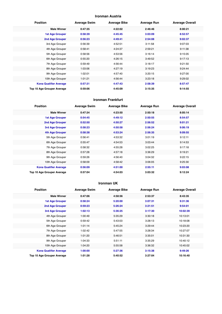## **Ironman Austria**

| <b>Position</b>               | <b>Average Swim</b> | <b>Average Bike</b> | <b>Average Run</b> | <b>Average Overall</b> |
|-------------------------------|---------------------|---------------------|--------------------|------------------------|
| <b>Male Winner</b>            | 0:47:35             | 4:22:02             | 2:46:46            | 8:00:21                |
| <b>1st Age Grouper</b>        | 0:58:39             | 4:45:45             | 3:03:09            | 8:52:57                |
| 2nd Age Grouper               | 0:56:23             | 4:49:41             | 2:54:08            | 9:02:37                |
| 3rd Age Grouper               | 0:56:39             | 4:52:51             | 3:11:58            | 9:07:03                |
| 4th Age Grouper               | 0:58:41             | 4:24:37             | 2:59:21            | 9:11:38                |
| 5th Age Grouper               | 0:58:56             | 4:53:56             | 3:16:14            | 9:15:05                |
| 6th Age Grouper               | 0:55:20             | 4:26:15             | 3:49:52            | 9:17:13                |
| 7th Age Grouper               | 0:59:49             | 4:56:44             | 3:18:17            | 9:21:50                |
| 8th Age Grouper               | 1:03:06             | 4:27:19             | 3:19:23            | 9:24:44                |
| 9th Age Grouper               | 1:02:01             | 4:57:40             | 3:20:15            | 9:27:00                |
| 10th Age Grouper              | 1:01:21             | 4:56:44             | 3:23:18            | 9:29:02                |
| <b>Kona Qualifier Average</b> | 0:57:31             | 4:47:43             | 2:58:39            | 8:57:47                |
| Top 10 Age Grouper Average    | 0:59:06             | 4:45:09             | 3:15:35            | 9:14:55                |

#### **Ironman Frankfurt**

| <b>Position</b>               | <b>Average Swim</b> | <b>Average Bike</b> | <b>Average Run</b> | <b>Average Overall</b> |
|-------------------------------|---------------------|---------------------|--------------------|------------------------|
| <b>Male Winner</b>            | 0:47:34             | 4:23:50             | 2:50:18            | 8:05:14                |
| <b>1st Age Grouper</b>        | 0:54:45             | 4:49:12             | 2:50:55            | 8:54:57                |
| 2nd Age Grouper               | 0:52:50             | 4:50:27             | 2:56:52            | 9:01:21                |
| 3rd Age Grouper               | 0:58:23             | 4:50:58             | 2:56:24            | 9:06:19                |
| <b>4th Age Grouper</b>        | 0:58:38             | 4:53:24             | 2:56:35            | 9:09:55                |
| 5th Age Grouper               | 0:56:41             | 4:53:32             | 3:01:19            | 9:12:11                |
| 6th Age Grouper               | 0:55:47             | 4:54:53             | 3:03:44            | 9:14:53                |
| 7th Age Grouper               | 0:58:32             | 4:55:28             | 3:02:25            | 9:17:18                |
| 8th Age Grouper               | 0:57:28             | 4:57:18             | 3:36:29            | 9:19:21                |
| 9th Age Grouper               | 0:59:26             | 4:56:40             | 3:04:32            | 9:22:15                |
| 10th Age Grouper              | 0:58:09             | 4:58:42             | 3:06:05            | 9:25:30                |
| <b>Kona Qualifier Average</b> | 0:56:09             | 4:51:00             | 2:55:11            | 9:03:08                |
| Top 10 Age Grouper Average    | 0:57:04             | 4:54:03             | 3:03:32            | 9:12:24                |

#### **Ironman UK**

| <b>Position</b>               | <b>Average Swim</b> | <b>Average Bike</b> | <b>Average Run</b> | <b>Average Overall</b> |
|-------------------------------|---------------------|---------------------|--------------------|------------------------|
| <b>Male Winner</b>            | 0:47:06             | 4:58:56             | 2:53:37            | 8:43:35                |
| <b>1st Age Grouper</b>        | 0:58:24             | 5:20:00             | 3:07:31            | 9:31:36                |
| <b>2nd Age Grouper</b>        | 0:59:23             | 5:26:24             | 3:21:51            | 9:54:01                |
| 3rd Age Grouper               | 1:02:13             | 5:36:25             | 3:17:30            | 10:02:39               |
| 4th Age Grouper               | 1:00:49             | 5:35:29             | 3:30:18            | 10:13:01               |
| 5th Age Grouper               | 0:59:42             | 5:43:03             | 3:28:13            | 10:18:08               |
| 6th Age Grouper               | 1:01:14             | 5:45:24             | 3:29:44            | 10:23:20               |
| 7th Age Grouper               | 1:02:42             | 5:47:55             | 3:28:34            | 10:27:07               |
| 8th Age Grouper               | 1:01:20             | 5:46:51             | 3:35:01            | 10:31:30               |
| 9th Age Grouper               | 1:04:33             | 5:51:11             | 3:35:29            | 10:40:12               |
| 10th Age Grouper              | 1:04:20             | 5:55:58             | 3:36:32            | 10:45:02               |
| <b>Kona Qualifier Average</b> | 1:00:00             | 5:27:36             | 3:15:38            | 9:49:26                |
| Top 10 Age Grouper Average    | 1:01:28             | 5:40:52             | 3:27:04            | 10:16:40               |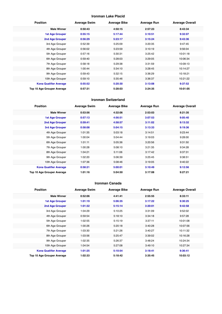## **Ironman Lake Placid**

| <b>Position</b>               | <b>Average Swim</b> | <b>Average Bike</b> | <b>Average Run</b> | <b>Average Overall</b> |
|-------------------------------|---------------------|---------------------|--------------------|------------------------|
| <b>Male Winner</b>            | 0:50:43             | 4:50:15             | 2:57:23            | 8:43:34                |
| <b>1st Age Grouper</b>        | 0:55:15             | 5:17:44             | 3:10:51            | 9:32:07                |
| 2nd Age Grouper               | 0:56:29             | 5:23:17             | 3:15:24            | 9:43:36                |
| 3rd Age Grouper               | 0:52:39             | 5:25:09             | 3:20:35            | 9:47:45                |
| 4th Age Grouper               | 0:56:02             | 5:23:59             | 3:10:19            | 9:56:04                |
| 5th Age Grouper               | 0:57:16             | 5:30:31             | 3:25:42            | 10:01:18               |
| 6th Age Grouper               | 0:59:40             | 5:28:03             | 3:29:05            | 10:06:34               |
| 7th Age Grouper               | 0:58:18             | 5:29:38             | 3:31:59            | 10:09:13               |
| 8th Age Grouper               | 1:00:44             | 5:34:10             | 3:28:45            | 10:14:27               |
| 9th Age Grouper               | 0:59:43             | 5:32:15             | 3:36:29            | 10:18:21               |
| 10th Age Grouper              | 0:59:10             | 5:35:46             | 3:36:37            | 10:21:22               |
| <b>Kona Qualifier Average</b> | 0:55:52             | 5:20:30             | 3:13:08            | 9:37:52                |
| Top 10 Age Grouper Average    | 0:57:31             | 5:28:03             | 3:24:35            | 10:01:05               |

#### **Ironman Switzerland**

| <b>Position</b>               | <b>Average Swim</b> | <b>Average Bike</b> | <b>Average Run</b> | <b>Average Overall</b> |
|-------------------------------|---------------------|---------------------|--------------------|------------------------|
| <b>Male Winner</b>            | 0:53:56             | 4:32:06             | 2:53:03            | 8:21:35                |
| 1st Age Grouper               | 0:57:13             | 4:56:51             | 3:07:53            | 9:05:40                |
| 2nd Age Grouper               | 0:59:41             | 4:58:57             | 3:11:02            | 9:13:32                |
| 3rd Age Grouper               | 0:58:08             | 5:04:15             | 3:13:33            | 9:19:36                |
| 4th Age Grouper               | 1:01:35             | 5:03:18             | 3:14:51            | 9:23:44                |
| 5th Age Grouper               | 1:00:04             | 5:04:44             | 3:19:03            | 9:28:00                |
| 6th Age Grouper               | 1:01:11             | 5:05:36             | 3:20:56            | 9:31:50                |
| 7th Age Grouper               | 1:00:28             | 5:08:10             | 3:21:35            | 9:34:28                |
| 8th Age Grouper               | 1:04:21             | 5:11:06             | 3:17:42            | 9:37:31                |
| 9th Age Grouper               | 1:02:20             | 5:06:39             | 3:25:45            | 9:38:51                |
| 10th Age Grouper              | 1:07:36             | 5:08:46             | 3:19:05            | 9:40:22                |
| <b>Kona Qualifier Average</b> | 0:58:21             | 5:00:01             | 3:10:49            | 9:12:56                |
| Top 10 Age Grouper Average    | 1:01:16             | 5:04:50             | 3:17:08            | 9:27:21                |

#### **Ironman Canada**

| <b>Position</b>               | <b>Average Swim</b> | <b>Average Bike</b> | <b>Average Run</b> | <b>Average Overall</b> |
|-------------------------------|---------------------|---------------------|--------------------|------------------------|
| <b>Male Winner</b>            | 0:52:06             | 4:41:41             | 2:55:55            | 8:33:11                |
| <b>1st Age Grouper</b>        | 1:01:19             | 5:06:35             | 3:17:22            | 9:30:25                |
| 2nd Age Grouper               | 1:01:32             | 5:15:14             | 3:20:01            | 9:42:58                |
| 3rd Age Grouper               | 1:04:29             | 5:10:25             | 3:31:09            | 9:52:02                |
| 4th Age Grouper               | 0:59:54             | 5:18:10             | 3:34:18            | 9:57:28                |
| 5th Age Grouper               | 1:02:55             | 5:15:19             | 3:37:11            | 10:01:08               |
| 6th Age Grouper               | 1:00:26             | 5:20:18             | 3:40:28            | 10:07:56               |
| 7th Age Grouper               | 1:03:30             | 5:21:26             | 3:40:27            | 10:11:32               |
| 8th Age Grouper               | 1:03:56             | 5:25:47             | 3:39:02            | 10:16:28               |
| 9th Age Grouper               | 1:02:35             | 5:26:37             | 3:48:24            | 10:24:34               |
| 10th Age Grouper              | 1:04:54             | 5:27:08             | 3:49:10            | 10:27:34               |
| <b>Kona Qualifier Average</b> | 1:01:25             | 5:10:54             | 3:18:41            | 9:36:41                |
| Top 10 Age Grouper Average    | 1:02:33             | 5:18:42             | 3:35:45            | 10:03:12               |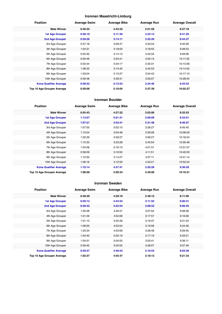## **Ironman Maastricht-Limburg**

| <b>Position</b>               | <b>Average Swim</b> | <b>Average Bike</b> | <b>Average Run</b> | <b>Average Overall</b> |
|-------------------------------|---------------------|---------------------|--------------------|------------------------|
| <b>Male Winner</b>            | 0:46:22             | 4:43:33             | 2:51:59            | 8:27:18                |
| <b>1st Age Grouper</b>        | 0:58:19             | 5:11:36             | 3:24:13            | 9:41:20                |
| 2nd Age Grouper               | 0:59:26             | 5:14:11             | 3:25:20            | 9:44:27                |
| 3rd Age Grouper               | 0:57:18             | 5:09:47             | 3:32:04            | 9:45:26                |
| 4th Age Grouper               | 1:04:31             | 5:18:03             | 3:18:55            | 9:48:53                |
| 5th Age Grouper               | 0:55:40             | 5:14:12             | 3:42:34            | 9:59:06                |
| 6th Age Grouper               | 0:50:46             | 5:22:41             | 3:50:13            | 10:11:22               |
| 7th Age Grouper               | 0:53:44             | 5:34:17             | 3:35:31            | 10:13:56               |
| 8th Age Grouper               | 1:08:33             | 5:15:45             | 3:42:53            | 10:14:52               |
| 9th Age Grouper               | 1:03:04             | 5:13:37             | 3:54:43            | 10:17:10               |
| 10th Age Grouper              | 0:59:48             | 5:26:31             | 3:50:07            | 10:28:04               |
| <b>Kona Qualifier Average</b> | 0:58:52             | 5:12:53             | 3:24:46            | 9:42:53                |
| Top 10 Age Grouper Average    | 0:59:06             | 5:18:04             | 3:37:39            | 10:02:27               |

#### **Ironman Boulder**

| <b>Position</b>               | <b>Average Swim</b> | <b>Average Bike</b> | <b>Average Run</b> | <b>Average Overall</b> |
|-------------------------------|---------------------|---------------------|--------------------|------------------------|
| <b>Male Winner</b>            | 0:55:43             | 4:27:22             | 3:03:06            | 8:32:53                |
| <b>1st Age Grouper</b>        | 1:13:07             | 5:01:41             | 3:09:09            | 9:33:01                |
| 2nd Age Grouper               | 1:07:21             | 4:53:41             | 3:31:48            | 9:40:57                |
| 3rd Age Grouper               | 1:07:55             | 5:02:10             | 3:26:27            | 9:45:45                |
| 4th Age Grouper               | 1:15:04             | 5:04:48             | 3:39:28            | 10:08:59               |
| 5th Age Grouper               | 1:02:29             | 5:09:27             | 3:56:27            | 10:18:24               |
| 6th Age Grouper               | 1:15:33             | 5:23:28             | 3:43:54            | 10:30:48               |
| 7th Age Grouper               | 1:04:58             | 5:16:15             | 4:01:31            | 10:31:57               |
| 8th Age Grouper               | 0:58:09             | 5:16:50             | 4:11:51            | 10:40:03               |
| 9th Age Grouper               | 1:10:30             | 5:14:27             | 4:07:11            | 10:41:14               |
| 10th Age Grouper              | 1:06:16             | 5:12:59             | 4:22:21            | 10:52:24               |
| <b>Kona Qualifier Average</b> | 1:10:14             | 4:57:41             | 3:20:28            | 9:36:59                |
| Top 10 Age Grouper Average    | 1:08:08             | 5:09:34             | 3:49:00            | 10:16:21               |

#### **Ironman Sweden**

| <b>Position</b>               | <b>Average Swim</b> | <b>Average Bike</b> | <b>Average Run</b> | <b>Average Overall</b> |
|-------------------------------|---------------------|---------------------|--------------------|------------------------|
| <b>Male Winner</b>            | 0:49:39             | 4:29:16             | 2:49:12            | 8:11:09                |
| <b>1st Age Grouper</b>        | 0:59:12             | 4:44:54             | 3:11:52            | 9:00:31                |
| 2nd Age Grouper               | 0:59:42             | 4:52:54             | 3:09:53            | 9:06:45                |
| 3rd Age Grouper               | 1:05:28             | 4:49:47             | 3:07:55            | 9:08:36                |
| 4th Age Grouper               | 1:01:49             | 4:52:08             | 3:17:57            | 9:16:06                |
| 5th Age Grouper               | 1:01:13             | 4:55:48             | 3:19:37            | 9:21:24                |
| 6th Age Grouper               | 1:06:00             | 4:53:54             | 3:19:58            | 9:24:26                |
| 7th Age Grouper               | 1:03:34             | 4:53:08             | 3:28:48            | 9:29:55                |
| 8th Age Grouper               | 1:04:40             | 5:05:19             | 3:17:19            | 9:33:51                |
| 9th Age Grouper               | 1:04:51             | 5:04:55             | 3:20:41            | 9:36:11                |
| 10th Age Grouper              | 0:59:40             | 5:05:05             | 3:28:07            | 9:37:49                |
| <b>Kona Qualifier Average</b> | 0:59:27             | 4:48:54             | 3:10:53            | 9:03:38                |
| Top 10 Age Grouper Average    | 1:02:37             | 4:55:47             | 3:18:13            | 9:21:33                |